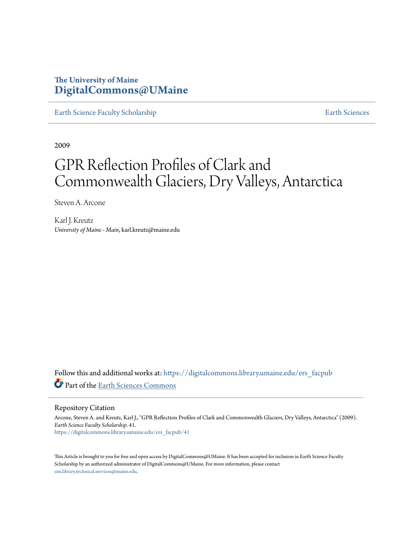# **The University of Maine [DigitalCommons@UMaine](https://digitalcommons.library.umaine.edu?utm_source=digitalcommons.library.umaine.edu%2Fers_facpub%2F41&utm_medium=PDF&utm_campaign=PDFCoverPages)**

[Earth Science Faculty Scholarship](https://digitalcommons.library.umaine.edu/ers_facpub?utm_source=digitalcommons.library.umaine.edu%2Fers_facpub%2F41&utm_medium=PDF&utm_campaign=PDFCoverPages) **[Earth Sciences](https://digitalcommons.library.umaine.edu/ers?utm_source=digitalcommons.library.umaine.edu%2Fers_facpub%2F41&utm_medium=PDF&utm_campaign=PDFCoverPages)** 

2009

# GPR Reflection Profiles of Clark and Commonwealth Glaciers, Dry Valleys, Antarctica

Steven A. Arcone

Karl J. Kreutz *University of Maine - Main*, karl.kreutz@maine.edu

Follow this and additional works at: [https://digitalcommons.library.umaine.edu/ers\\_facpub](https://digitalcommons.library.umaine.edu/ers_facpub?utm_source=digitalcommons.library.umaine.edu%2Fers_facpub%2F41&utm_medium=PDF&utm_campaign=PDFCoverPages) Part of the [Earth Sciences Commons](http://network.bepress.com/hgg/discipline/153?utm_source=digitalcommons.library.umaine.edu%2Fers_facpub%2F41&utm_medium=PDF&utm_campaign=PDFCoverPages)

Repository Citation

Arcone, Steven A. and Kreutz, Karl J., "GPR Reflection Profiles of Clark and Commonwealth Glaciers, Dry Valleys, Antarctica" (2009). *Earth Science Faculty Scholarship*. 41. [https://digitalcommons.library.umaine.edu/ers\\_facpub/41](https://digitalcommons.library.umaine.edu/ers_facpub/41?utm_source=digitalcommons.library.umaine.edu%2Fers_facpub%2F41&utm_medium=PDF&utm_campaign=PDFCoverPages)

This Article is brought to you for free and open access by DigitalCommons@UMaine. It has been accepted for inclusion in Earth Science Faculty Scholarship by an authorized administrator of DigitalCommons@UMaine. For more information, please contact [um.library.technical.services@maine.edu](mailto:um.library.technical.services@maine.edu).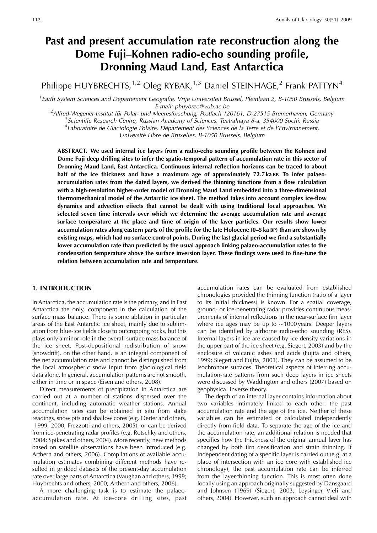# Past and present accumulation rate reconstruction along the Dome Fuji-Kohnen radio-echo sounding profile, **Dronning Maud Land, East Antarctica**

Philippe HUYBRECHTS,<sup>1,2</sup> Oleg RYBAK,<sup>1,3</sup> Daniel STEINHAGE,<sup>2</sup> Frank PATTYN<sup>4</sup>

<sup>1</sup> Earth System Sciences and Departement Geografie, Vrije Universiteit Brussel, Pleinlaan 2, B-1050 Brussels, Belgium E-mail: phuybrec@vub.ac.be

<sup>2</sup>Alfred-Wegener-Institut für Polar- und Meeresforschung, Postfach 120161, D-27515 Bremerhaven, Germany

<sup>3</sup>Scientific Research Centre, Russian Academy of Sciences, Teatralnaya 8-a, 354000 Sochi, Russia

<sup>4</sup>Laboratoire de Glaciologie Polaire, Département des Sciences de la Terre et de l'Environnement,

Université Libre de Bruxelles, B-1050 Brussels, Belgium

ABSTRACT. We used internal ice layers from a radio-echo sounding profile between the Kohnen and Dome Fuji deep drilling sites to infer the spatio-temporal pattern of accumulation rate in this sector of Dronning Maud Land, East Antarctica. Continuous internal reflection horizons can be traced to about half of the ice thickness and have a maximum age of approximately 72.7 ka BP. To infer palaeoaccumulation rates from the dated layers, we derived the thinning functions from a flow calculation with a high-resolution higher-order model of Dronning Maud Land embedded into a three-dimensional thermomechanical model of the Antarctic ice sheet. The method takes into account complex ice-flow dynamics and advection effects that cannot be dealt with using traditional local approaches. We selected seven time intervals over which we determine the average accumulation rate and average surface temperature at the place and time of origin of the layer particles. Our results show lower accumulation rates along eastern parts of the profile for the late Holocene (0-5 ka BP) than are shown by existing maps, which had no surface control points. During the last glacial period we find a substantially lower accumulation rate than predicted by the usual approach linking palaeo-accumulation rates to the condensation temperature above the surface inversion layer. These findings were used to fine-tune the relation between accumulation rate and temperature.

# 1. INTRODUCTION

In Antarctica, the accumulation rate is the primary, and in East Antarctica the only, component in the calculation of the surface mass balance. There is some ablation in particular areas of the East Antarctic ice sheet, mainly due to sublimation from blue-ice fields close to outcropping rocks, but this plays only a minor role in the overall surface mass balance of the ice sheet. Post-depositional redistribution of snow (snowdrift), on the other hand, is an integral component of the net accumulation rate and cannot be distinguished from the local atmospheric snow input from glaciological field data alone. In general, accumulation patterns are not smooth, either in time or in space (Eisen and others, 2008).

Direct measurements of precipitation in Antarctica are carried out at a number of stations dispersed over the continent, including automatic weather stations. Annual accumulation rates can be obtained in situ from stake readings, snow pits and shallow cores (e.g. Oerter and others, 1999, 2000; Frezzotti and others, 2005), or can be derived from ice-penetrating radar profiles (e.g. Rotschky and others, 2004; Spikes and others, 2004). More recently, new methods based on satellite observations have been introduced (e.g. Arthern and others, 2006). Compilations of available accumulation estimates combining different methods have resulted in gridded datasets of the present-day accumulation rate over large parts of Antarctica (Vaughan and others, 1999; Huybrechts and others, 2000; Arthern and others, 2006).

A more challenging task is to estimate the palaeoaccumulation rate. At ice-core drilling sites, past

accumulation rates can be evaluated from established chronologies provided the thinning function (ratio of a layer to its initial thickness) is known. For a spatial coverage, ground- or ice-penetrating radar provides continuous measurements of internal reflections in the near-surface firn layer where ice ages may be up to  $\sim$ 1000 years. Deeper layers can be identified by airborne radio-echo sounding (RES). Internal layers in ice are caused by ice density variations in the upper part of the ice sheet (e.g. Siegert, 2003) and by the enclosure of volcanic ashes and acids (Fujita and others, 1999; Siegert and Fujita, 2001). They can be assumed to be isochronous surfaces. Theoretical aspects of inferring accumulation-rate patterns from such deep layers in ice sheets were discussed by Waddington and others (2007) based on geophysical inverse theory.

The depth of an internal layer contains information about two variables intimately linked to each other: the past accumulation rate and the age of the ice. Neither of these variables can be estimated or calculated independently directly from field data. To separate the age of the ice and the accumulation rate, an additional relation is needed that specifies how the thickness of the original annual layer has changed by both firn densification and strain thinning. If independent dating of a specific layer is carried out (e.g. at a place of intersection with an ice core with established ice chronology), the past accumulation rate can be inferred from the layer-thinning function. This is most often done locally using an approach originally suggested by Dansgaard and Johnsen (1969) (Siegert, 2003; Leysinger Vieli and others, 2004). However, such an approach cannot deal with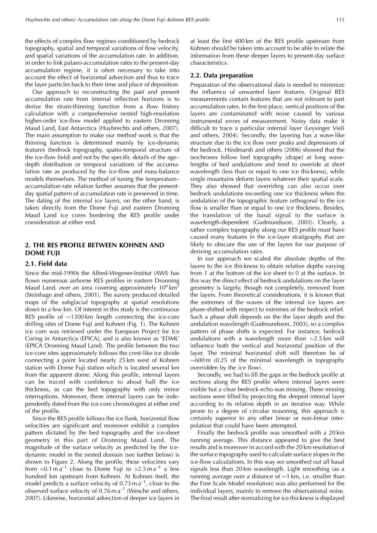the effects of complex flow regimes conditioned by bedrock topography, spatial and temporal variations of flow velocity, and spatial variations of the accumulation rate. In addition, in order to link palaeo-accumulation rates to the present-day accumulation regime, it is often necessary to take into account the effect of horizontal advection and thus to trace the layer particles back to their time and place of deposition.

Our approach to reconstructing the past and present accumulation rate from internal reflection horizons is to derive the strain-thinning function from a flow history calculation with a comprehensive nested high-resolution higher-order ice-flow model applied to eastern Dronning Maud Land, East Antarctica (Huybrechts and others, 2007). The main assumption to make our method work is that the thinning function is determined mainly by ice-dynamic features (bedrock topography, spatio-temporal structure of the ice-flow field) and not by the specific details of the agedepth distribution or temporal variations of the accumulation rate as produced by the ice-flow and mass-balance models themselves. The method of tuning the temperatureaccumulation-rate relation further assumes that the presentday spatial pattern of accumulation rate is preserved in time. The dating of the internal ice layers, on the other hand, is taken directly from the Dome Fuji and eastern Dronning Maud Land ice cores bordering the RES profile under consideration at either end.

# 2. THE RES PROFILE BETWEEN KOHNEN AND **DOME FUJI**

#### 2.1. Field data

Since the mid-1990s the Alfred-Wegener-Institut (AWI) has flown numerous airborne RES profiles in eastern Dronning Maud Land, over an area covering approximately 10<sup>6</sup> km<sup>2</sup> (Steinhage and others, 2001). The survey produced detailed maps of the subglacial topography at spatial resolutions down to a few km. Of interest in this study is the continuous RES profile of  $\sim$ 1300 km length connecting the ice-core drilling sites of Dome Fuji and Kohnen (Fig. 1). The Kohnen ice core was retrieved under the European Project for Ice Coring in Antarctica (EPICA), and is also known as 'EDML' (EPICA Dronning Maud Land). The profile between the two ice-core sites approximately follows the crest-like ice divide connecting a point located nearly 25 km west of Kohnen station with Dome Fuji station which is located several km from the apparent dome. Along this profile, internal layers can be traced with confidence to about half the ice thickness, as can the bed topography with only minor interruptions. Moreover, these internal layers can be independently dated from the ice-core chronologies at either end of the profile.

Since the RES profile follows the ice flank, horizontal flow velocities are significant and moreover exhibit a complex pattern dictated by the bed topography and the ice-sheet geometry in this part of Dronning Maud Land. The magnitude of the surface velocity as predicted by the icedynamic model in the nested domain (see further below) is shown in Figure 2. Along the profile, these velocities vary from <0.1 ma<sup>-1</sup> close to Dome Fuji to >2.5 ma<sup>-1</sup> a few hundred km upstream from Kohnen. At Kohnen itself, the model predicts a surface velocity of  $0.73$  m  $a^{-1}$ , close to the observed surface velocity of  $0.76$  m  $a^{-1}$  (Wesche and others, 2007). Likewise, horizontal advection of deeper ice layers in at least the first 400 km of the RES profile upstream from Kohnen should be taken into account to be able to relate the information from these deeper layers to present-day surface characteristics.

#### 2.2. Data preparation

Preparation of the observational data is needed to minimize the influence of unwanted laver features. Original RES measurements contain features that are not relevant to past accumulation rates. In the first place, vertical positions of the layers are contaminated with noise caused by various instrumental errors of measurement. Noisy data make it difficult to trace a particular internal layer (Leysinger Vieli and others, 2004). Secondly, the layering has a wave-like structure due to the ice flow over peaks and depressions of the bedrock. Hindmarsh and others (2006) showed that the isochrones follow bed topography (drape) at long wavelengths of bed undulations and tend to override at short wavelength (less than or equal to one ice thickness), while single mountains deform layers whatever their spatial scale. They also showed that overriding can also occur over bedrock undulations exceeding one ice thickness when the undulation of the topographic feature orthogonal to the ice flow is smaller than or equal to one ice thickness. Besides, the translation of the basal signal to the surface is wavelength-dependent (Gudmundsson, 2003). Clearly, a rather complex topography along our RES profile must have caused many features in the ice-layer stratigraphy that are likely to obscure the use of the layers for our purpose of deriving accumulation rates.

In our approach we scaled the absolute depths of the layers to the ice thickness to obtain relative depths varying from 1 at the bottom of the ice sheet to 0 at the surface. In this way the direct effect of bedrock undulations on the layer geometry is largely, though not completely, removed from the layers. From theoretical considerations, it is known that the extremes of the waves of the internal ice lavers are phase-shifted with respect to extremes of the bedrock relief. Such a phase shift depends on the the layer depth and the undulation wavelength (Gudmundsson, 2003), so a complex pattern of phase shifts is expected. For instance, bedrock undulations with a wavelength more than  $\sim$ 2.5 km will influence both the vertical and horizontal position of the layer. The minimal horizontal shift will therefore be of  $\sim 600 \text{ m}$  (0.25 of the minimal wavelength in topography overridden by the ice flow).

Secondly, we had to fill the gaps in the bedrock profile at sections along the RES profile where internal layers were visible but a clear bedrock echo was missing. These missing sections were filled by projecting the deepest internal layer according to its relative depth in an iterative way. While prone to a degree of circular reasoning, this approach is certainly superior to any other linear or non-linear interpolation that could have been attempted.

Finally the bedrock profile was smoothed with a 20 km running average. This distance appeared to give the best results and is moreover in accord with the 20 km resolution of the surface topography used to calculate surface slopes in the ice-flow calculations. In this way we smoothed out all basal signals less than 20 km wavelength. Light smoothing (as a running average over a distance of  $\sim$ 1 km, i.e. smaller than the Fine Scale Model resolution) was also performed for the individual layers, mainly to remove the observational noise. The final result after normalizing for ice thickness is displayed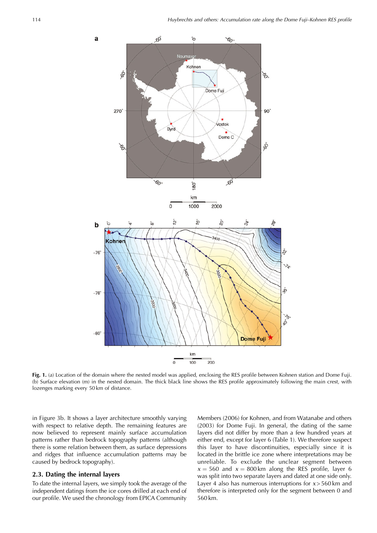

Fig. 1. (a) Location of the domain where the nested model was applied, enclosing the RES profile between Kohnen station and Dome Fuji. (b) Surface elevation (m) in the nested domain. The thick black line shows the RES profile approximately following the main crest, with lozenges marking every 50 km of distance.

in Figure 3b. It shows a layer architecture smoothly varying with respect to relative depth. The remaining features are now believed to represent mainly surface accumulation patterns rather than bedrock topography patterns (although there is some relation between them, as surface depressions and ridges that influence accumulation patterns may be caused by bedrock topography).

# 2.3. Dating the internal layers

To date the internal layers, we simply took the average of the independent datings from the ice cores drilled at each end of our profile. We used the chronology from EPICA Community

Members (2006) for Kohnen, and from Watanabe and others (2003) for Dome Fuji. In general, the dating of the same layers did not differ by more than a few hundred years at either end, except for layer 6 (Table 1). We therefore suspect this layer to have discontinuities, especially since it is located in the brittle ice zone where interpretations may be unreliable. To exclude the unclear segment between  $x = 560$  and  $x = 800$  km along the RES profile, layer 6 was split into two separate layers and dated at one side only. Layer 4 also has numerous interruptions for  $x > 560$  km and therefore is interpreted only for the segment between 0 and 560 km.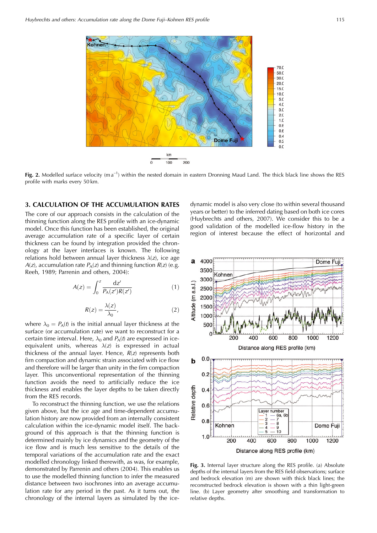

Fig. 2. Modelled surface velocity ( $m a^{-1}$ ) within the nested domain in eastern Dronning Maud Land. The thick black line shows the RES profile with marks every 50 km.

# 3. CALCULATION OF THE ACCUMULATION RATES

The core of our approach consists in the calculation of the thinning function along the RES profile with an ice-dynamic model. Once this function has been established, the original average accumulation rate of a specific layer of certain thickness can be found by integration provided the chronology at the layer interfaces is known. The following relations hold between annual layer thickness  $\lambda(z)$ , ice age  $A(z)$ , accumulation rate  $P_A(z)$  and thinning function  $R(z)$  (e.g. Reeh, 1989; Parrenin and others, 2004):

$$
A(z) = \int_0^z \frac{\mathrm{d}z'}{P_A(z')R(z')} \tag{1}
$$

$$
R(z) = \frac{\lambda(z)}{\lambda_0},\tag{2}
$$

where  $\lambda_0 = P_A(t)$  is the initial annual layer thickness at the surface (or accumulation rate) we want to reconstruct for a certain time interval. Here,  $\lambda_0$  and  $P_A(t)$  are expressed in iceequivalent units, whereas  $\lambda(z)$  is expressed in actual thickness of the annual layer. Hence,  $R(z)$  represents both firn compaction and dynamic strain associated with ice flow and therefore will be larger than unity in the firn compaction layer. This unconventional representation of the thinning function avoids the need to artificially reduce the ice thickness and enables the layer depths to be taken directly from the RES records.

To reconstruct the thinning function, we use the relations given above, but the ice age and time-dependent accumulation history are now provided from an internally consistent calculation within the ice-dynamic model itself. The background of this approach is that the thinning function is determined mainly by ice dynamics and the geometry of the ice flow and is much less sensitive to the details of the temporal variations of the accumulation rate and the exact modelled chronology linked therewith, as was, for example, demonstrated by Parrenin and others (2004). This enables us to use the modelled thinning function to infer the measured distance between two isochrones into an average accumulation rate for any period in the past. As it turns out, the chronology of the internal layers as simulated by the icedynamic model is also very close (to within several thousand years or better) to the inferred dating based on both ice cores (Huybrechts and others, 2007). We consider this to be a good validation of the modelled ice-flow history in the region of interest because the effect of horizontal and



Fig. 3. Internal layer structure along the RES profile. (a) Absolute depths of the internal layers from the RES field observations; surface and bedrock elevation (m) are shown with thick black lines; the reconstructed bedrock elevation is shown with a thin light-green line. (b) Layer geometry after smoothing and transformation to relative depths.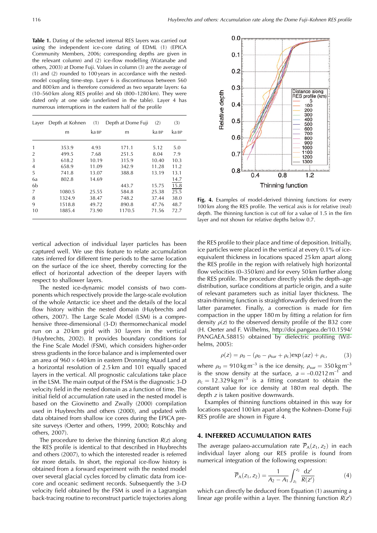Table 1. Dating of the selected internal RES layers was carried out using the independent ice-core dating of EDML (1) (EPICA Community Members, 2006; corresponding depths are given in the relevant column) and (2) ice-flow modelling (Watanabe and others, 2003) at Dome Fuji. Values in column (3) are the average of (1) and (2) rounded to 100 years in accordance with the nestedmodel coupling time-step. Layer 6 is discontinuous between 560 and 800 km and is therefore considered as two separate layers: 6a (10-560 km along RES profile) and 6b (800-1280 km). They were dated only at one side (underlined in the table). Layer 4 has numerous interruptions in the eastern half of the profile

| Layer          | Depth at Kohnen | (1)   | Depth at Dome Fuji | (2)   | (3)   |
|----------------|-----------------|-------|--------------------|-------|-------|
|                | m               | ka BP | m                  | ka BP | ka BP |
| 1              | 353.9           | 4.93  | 171.1              | 5.12  | 5.0   |
| $\overline{2}$ | 499.5           | 7.68  | 251.5              | 8.04  | 7.9   |
| 3              | 618.2           | 10.19 | 315.9              | 10.40 | 10.3  |
| 4              | 658.9           | 11.09 | 342.9              | 11.28 | 11.2  |
| 5              | 741.8           | 13.07 | 388.8              | 13.19 | 13.1  |
| 6a             | 802.8           | 14.69 |                    |       | 14.7  |
| 6b             |                 |       | 443.7              | 15.75 | 15.8  |
| 7              | 1080.5          | 25.55 | 584.8              | 25.38 | 25.5  |
| 8              | 1324.9          | 38.47 | 748.2              | 37.44 | 38.0  |
| 9              | 1518.8          | 49.72 | 890.8              | 47.76 | 48.7  |
| 10             | 1885.4          | 73.90 | 1170.5             | 71.56 | 72.7  |

vertical advection of individual layer particles has been captured well. We use this feature to relate accumulation rates inferred for different time periods to the same location on the surface of the ice sheet, thereby correcting for the effect of horizontal advection of the deeper layers with respect to shallower layers.

The nested ice-dynamic model consists of two components which respectively provide the large-scale evolution of the whole Antarctic ice sheet and the details of the local flow history within the nested domain (Huybrechts and others, 2007). The Large Scale Model (LSM) is a comprehensive three-dimensional (3-D) thermomechanical model run on a 20km grid with 30 layers in the vertical (Huybrechts, 2002). It provides boundary conditions for the Fine Scale Model (FSM), which considers higher-order stress gradients in the force balance and is implemented over an area of  $960 \times 640$  km in eastern Dronning Maud Land at a horizontal resolution of 2.5 km and 101 equally spaced layers in the vertical. All prognostic calculations take place in the LSM. The main output of the FSM is the diagnostic 3-D velocity field in the nested domain as a function of time. The initial field of accumulation rate used in the nested model is based on the Giovinetto and Zwally (2000) compilation used in Huybrechts and others (2000), and updated with data obtained from shallow ice cores during the EPICA presite surveys (Oerter and others, 1999, 2000; Rotschky and others, 2007).

The procedure to derive the thinning function  $R(z)$  along the RES profile is identical to that described in Huybrechts and others (2007), to which the interested reader is referred for more details. In short, the regional ice-flow history is obtained from a forward experiment with the nested model over several glacial cycles forced by climatic data from icecore and oceanic sediment records. Subsequently the 3-D velocity field obtained by the FSM is used in a Lagrangian back-tracing routine to reconstruct particle trajectories along



Fig. 4. Examples of model-derived thinning functions for every 100 km along the RES profile. The vertical axis is for relative (real) depth. The thinning function is cut off for a value of 1.5 in the firn layer and not shown for relative depths below 0.7.

the RES profile to their place and time of deposition. Initially, ice particles were placed in the vertical at every 0.1% of iceequivalent thickness in locations spaced 25 km apart along the RES profile in the region with relatively high horizontal flow velocities (0-350 km) and for every 50 km further along the RES profile. The procedure directly yields the depth-age distribution, surface conditions at particle origin, and a suite of relevant parameters such as initial layer thickness. The strain-thinning function is straightforwardly derived from the latter parameter. Finally, a correction is made for firn compaction in the upper 180 m by fitting a relation for firn density  $\rho(z)$  to the observed density profile of the B32 core (H. Oerter and F. Wilhelms, http://doi.pangaea.de/10.1594/ PANGAEA.58815) obtained by dielectric profiling (Wilhelms, 2005):

$$
\rho(z) = \rho_0 - (\rho_0 - \rho_{\text{sur}} + \rho_{\text{c}}) \exp(az) + \rho_{\text{c}},
$$
 (3)

where  $\rho_0 = 910 \text{ kg m}^{-3}$  is the ice density,  $\rho_{\text{sur}} = 350 \text{ kg m}^{-3}$ is the snow density at the surface,  $a = -0.0212 \text{ m}^{-1}$  and  $\rho_c = 12.329 \,\text{kg m}^{-3}$  is a fitting constant to obtain the constant value for ice density at 180m real depth. The depth z is taken positive downwards.

Examples of thinning functions obtained in this way for locations spaced 100 km apart along the Kohnen-Dome Fuji RES profile are shown in Figure 4.

#### **4. INFERRED ACCUMULATION RATES**

The average palaeo-accumulation rate  $\overline{P}_{A}(z_1, z_2)$  in each individual layer along our RES profile is found from numerical integration of the following expression:

$$
\overline{P}_{A}(z_1, z_2) = \frac{1}{A_2 - A_1} \int_{z_1}^{z_2} \frac{dz'}{R(z')}
$$
 (4)

which can directly be deduced from Equation (1) assuming a linear age profile within a layer. The thinning function  $R(z)$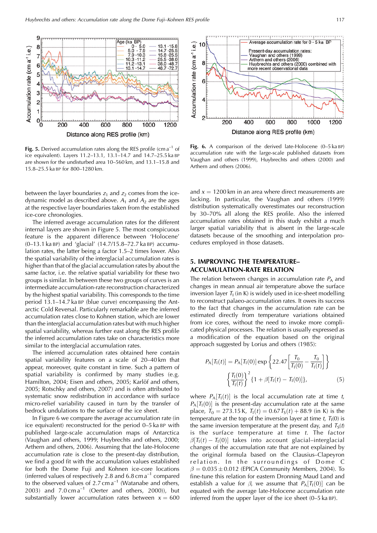

Fig. 5. Derived accumulation rates along the RES profile (cm  $a^{-1}$  of ice equivalent). Layers 11.2–13.1, 13.1–14.7 and 14.7–25.5 ka BP are shown for the undisturbed area 10-560 km, and 13.1-15.8 and 15.8-25.5 ka BP for 800-1280 km.

between the layer boundaries  $z_1$  and  $z_2$  comes from the icedynamic model as described above.  $A_1$  and  $A_2$  are the ages at the respective layer boundaries taken from the established ice-core chronologies.

The inferred average accumulation rates for the different internal layers are shown in Figure 5. The most conspicuous feature is the apparent difference between 'Holocene' (0-13.1 ka BP) and 'glacial' (14.7/15.8-72.7 ka BP) accumulation rates, the latter being a factor 1.5–2 times lower. Also the spatial variability of the interglacial accumulation rates is higher than that of the glacial accumulation rates by about the same factor, i.e. the relative spatial variability for these two groups is similar. In between these two groups of curves is an intermediate accumulation-rate reconstruction characterized by the highest spatial variability. This corresponds to the time period 13.1–14.7 ka BP (blue curve) encompassing the Antarctic Cold Reversal. Particularly remarkable are the inferred accumulation rates close to Kohnen station, which are lower than the interglacial accumulation rates but with much higher spatial variability, whereas further east along the RES profile the inferred accumulation rates take on characteristics more similar to the interglacial accumulation rates.

The inferred accumulation rates obtained here contain spatial variability features on a scale of 20-40 km that appear, moreover, quite constant in time. Such a pattern of spatial variability is confirmed by many studies (e.g. Hamilton, 2004; Eisen and others, 2005; Karlöf and others, 2005; Rotschky and others, 2007) and is often attributed to systematic snow redistribution in accordance with surface micro-relief variability caused in turn by the transfer of bedrock undulations to the surface of the ice sheet.

In Figure 6 we compare the average accumulation rate (in ice equivalent) reconstructed for the period 0-5 ka BP with published large-scale accumulation maps of Antarctica (Vaughan and others, 1999; Huybrechts and others, 2000; Arthern and others, 2006). Assuming that the late-Holocene accumulation rate is close to the present-day distribution, we find a good fit with the accumulation values established for both the Dome Fuji and Kohnen ice-core locations (inferred values of respectively 2.8 and 6.8 cm  $a^{-1}$  compared to the observed values of  $2.7 \text{ cm} \text{ a}^{-1}$  (Watanabe and others, 2003) and  $7.0 \text{ cm} \text{ a}^{-1}$  (Oerter and others, 2000)), but substantially lower accumulation rates between  $x = 600$ 



Fig. 6. A comparison of the derived late-Holocene (0-5 ka BP) accumulation rate with the large-scale published datasets from Vaughan and others (1999), Huybrechts and others (2000) and Arthern and others (2006).

and  $x = 1200$  km in an area where direct measurements are lacking. In particular, the Vaughan and others (1999) distribution systematically overestimates our reconstruction by 30–70% all along the RES profile. Also the inferred accumulation rates obtained in this study exhibit a much larger spatial variability that is absent in the large-scale datasets because of the smoothing and interpolation procedures employed in those datasets.

# 5. IMPROVING THE TEMPERATURE-**ACCUMULATION-RATE RELATION**

The relation between changes in accumulation rate  $P_A$  and changes in mean annual air temperature above the surface inversion layer  $T_1$  (in K) is widely used in ice-sheet modelling to reconstruct palaeo-accumulation rates. It owes its success to the fact that changes in the accumulation rate can be estimated directly from temperature variations obtained from ice cores, without the need to invoke more complicated physical processes. The relation is usually expressed as a modification of the equation based on the original approach suggested by Lorius and others (1985):

$$
P_{A}[T_{I}(t)] = P_{A}[T_{I}(0)] \exp \left\{ 22.47 \left[ \frac{T_{0}}{T_{I}(0)} - \frac{T_{0}}{T_{I}(t)} \right] \right\}
$$

$$
\left\{ \frac{T_{I}(0)}{T_{I}(t)} \right\}^{2} \{ 1 + \beta [T_{I}(t) - T_{I}(0)] \}, \tag{5}
$$

where  $P_A[T_1(t)]$  is the local accumulation rate at time t,  $P_A[T_1(0)]$  is the present-day accumulation rate at the same place,  $T_0 = 273.15 \text{ K}$ ,  $T_1(t) = 0.67 T_5(t) + 88.9$  (in K) is the temperature at the top of the inversion layer at time  $t$ ,  $T_1(0)$  is the same inversion temperature at the present day, and  $T_S(t)$ is the surface temperature at time  $t$ . The factor  $\beta[T_1(t) - T_1(0)]$  takes into account glacial-interglacial changes of the accumulation rate that are not explained by the original formula based on the Clausius-Clapeyron relation. In the surroundings of Dome C  $\beta = 0.035 \pm 0.012$  (EPICA Community Members, 2004). To fine-tune this relation for eastern Dronning Maud Land and establish a value for  $\beta$ , we assume that  $P_A[T_1(0)]$  can be equated with the average late-Holocene accumulation rate inferred from the upper layer of the ice sheet (0–5 ka BP).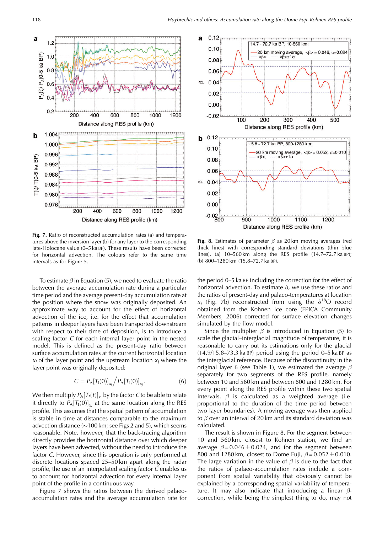

Fig. 7. Ratio of reconstructed accumulation rates (a) and temperatures above the inversion layer (b) for any layer to the corresponding late-Holocene value (0-5 ka BP). These results have been corrected for horizontal advection. The colours refer to the same time intervals as for Figure 5.

To estimate  $\beta$  in Equation (5), we need to evaluate the ratio between the average accumulation rate during a particular time period and the average present-day accumulation rate at the position where the snow was originally deposited. An approximate way to account for the effect of horizontal advection of the ice, i.e. for the effect that accumulation patterns in deeper layers have been transported downstream with respect to their time of deposition, is to introduce a scaling factor  $C$  for each internal layer point in the nested model. This is defined as the present-day ratio between surface accumulation rates at the current horizontal location  $x_i$  of the layer point and the upstream location  $x_i$  where the layer point was originally deposited:

$$
C = P_{A}[T_{1}(0)]_{x_{i}} / P_{A}[T_{1}(0)]_{x_{i}}.
$$
 (6)

We then multiply  $P_A[T_i(t)]_{x_i}$  by the factor C to be able to relate it directly to  $P_A[T_1(0)]_{x_i}$  at the same location along the RES profile. This assumes that the spatial pattern of accumulation is stable in time at distances comparable to the maximum advection distance ( $\sim$ 100 km; see Figs 2 and 5), which seems reasonable. Note, however, that the back-tracing algorithm directly provides the horizontal distance over which deeper layers have been advected, without the need to introduce the factor C. However, since this operation is only performed at discrete locations spaced 25–50 km apart along the radar profile, the use of an interpolated scaling factor C enables us to account for horizontal advection for every internal layer point of the profile in a continuous way.

Figure 7 shows the ratios between the derived palaeoaccumulation rates and the average accumulation rate for



Fig. 8. Estimates of parameter  $\beta$  as 20 km moving averages (red thick lines) with corresponding standard deviations (thin blue lines). (a) 10-560 km along the RES profile (14.7-72.7 ka BP); (b) 800-1280 km (15.8-72.7 ka BP).

the period 0-5 ka BP including the correction for the effect of horizontal advection. To estimate  $\beta$ , we use these ratios and the ratios of present-day and palaeo-temperatures at location  $x_i$  (Fig. 7b) reconstructed from using the  $\delta^{18}O$  record obtained from the Kohnen ice core (EPICA Community Members, 2006) corrected for surface elevation changes simulated by the flow model.

Since the multiplier  $\beta$  is introduced in Equation (5) to scale the glacial-interglacial magnitude of temperature, it is reasonable to carry out its estimations only for the glacial  $(14.9/15.8-73.3 \text{ ka BP})$  period using the period 0-5 ka BP as the interglacial reference. Because of the discontinuity in the original layer 6 (see Table 1), we estimated the average  $\beta$ separately for two segments of the RES profile, namely between 10 and 560 km and between 800 and 1280 km. For every point along the RES profile within these two spatial intervals,  $\beta$  is calculated as a weighted average (i.e. proportional to the duration of the time period between two layer boundaries). A moving average was then applied to  $\beta$  over an interval of 20 km and its standard deviation was calculated.

The result is shown in Figure 8. For the segment between 10 and 560km, closest to Kohnen station, we find an average  $\beta = 0.046 \pm 0.024$ , and for the segment between 800 and 1280 km, closest to Dome Fuji,  $\beta = 0.052 \pm 0.010$ . The large variation in the value of  $\beta$  is due to the fact that the ratios of palaeo-accumulation rates include a component from spatial variability that obviously cannot be explained by a corresponding spatial variability of temperature. It may also indicate that introducing a linear  $\beta$ correction, while being the simplest thing to do, may not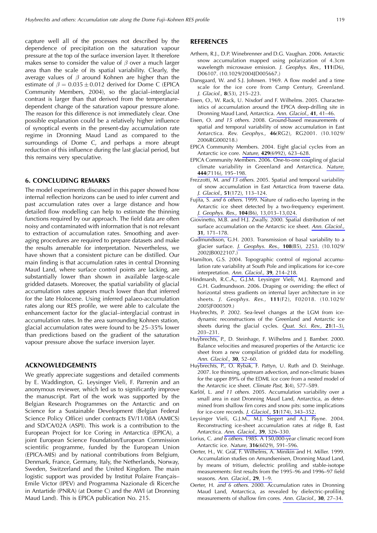capture well all of the processes not described by the dependence of precipitation on the saturation vapour pressure at the top of the surface inversion layer. It therefore makes sense to consider the value of  $\beta$  over a much larger area than the scale of its spatial variability. Clearly, the average values of  $\beta$  around Kohnen are higher than the estimate of  $\beta = 0.035 \pm 0.012$  derived for Dome C (EPICA Community Members, 2004), so the glacial-interglacial contrast is larger than that derived from the temperaturedependent change of the saturation vapour pressure alone. The reason for this difference is not immediately clear. One possible explanation could be a relatively higher influence of synoptical events in the present-day accumulation rate regime in Dronning Maud Land as compared to the surroundings of Dome C, and perhaps a more abrupt reduction of this influence during the last glacial period, but this remains very speculative.

## **6. CONCLUDING REMARKS**

The model experiments discussed in this paper showed how internal reflection horizons can be used to infer current and past accumulation rates over a large distance and how detailed flow modelling can help to estimate the thinning functions required by our approach. The field data are often noisy and contaminated with information that is not relevant to extraction of accumulation rates. Smoothing and averaging procedures are required to prepare datasets and make the results amenable for interpretation. Nevertheless, we have shown that a consistent picture can be distilled. Our main finding is that accumulation rates in central Dronning Maud Land, where surface control points are lacking, are substantially lower than shown in available large-scale gridded datasets. Moreover, the spatial variability of glacial accumulation rates appears much lower than that inferred for the late Holocene. Using inferred palaeo-accumulation rates along our RES profile, we were able to calculate the enhancement factor for the glacial-interglacial contrast in accumulation rates. In the area surrounding Kohnen station, glacial accumulation rates were found to be 25-35% lower than predictions based on the gradient of the saturation vapour pressure above the surface inversion layer.

# **ACKNOWLEDGEMENTS**

We greatly appreciate suggestions and detailed comments by E. Waddington, G. Leysinger Vieli, F. Parrenin and an anonymous reviewer, which led us to significantly improve the manuscript. Part of the work was supported by the Belgian Research Programmes on the Antarctic and on Science for a Sustainable Development (Belgian Federal Science Policy Office) under contracts EV/11/08A (AMICS) and SD/CA/02A (ASPI). This work is a contribution to the European Project for Ice Coring in Antarctica (EPICA), a joint European Science Foundation/European Commission scientific programme, funded by the European Union (EPICA-MIS) and by national contributions from Belgium, Denmark, France, Germany, Italy, the Netherlands, Norway, Sweden, Switzerland and the United Kingdom. The main logistic support was provided by Institut Polaire Français-Emile Victor (IPEV) and Programma Nazionale di Ricerche in Antartide (PNRA) (at Dome C) and the AWI (at Dronning Maud Land). This is EPICA publication No. 215.

# **REFERENCES**

- Arthern, R.J., D.P. Winebrenner and D.G. Vaughan. 2006. Antarctic snow accumulation mapped using polarization of 4.3cm wavelength microwave emission. J. Geophys. Res., 111(D6), D06107. (10.1029/2004JD005667.)
- Dansgaard, W. and S.J. Johnsen. 1969. A flow model and a time scale for the ice core from Camp Century, Greenland. J. Glaciol., 8(53), 215-223.
- Eisen, O., W. Rack, U. Nixdorf and F. Wilhelms. 2005. Characteristics of accumulation around the EPICA deep-drilling site in Dronning Maud Land, Antarctica. Ann. Glaciol., 41, 41-46.
- Eisen, O. and 15 others. 2008. Ground-based measurements of spatial and temporal variability of snow accumulation in East Antarctica. Rev. Geophys., 46(RG2), RG2001. (10.1029/ 2006RG000218.)
- EPICA Community Members. 2004. Eight glacial cycles from an Antarctic ice core. Nature, 429(6992), 623-628.
- EPICA Community Members. 2006. One-to-one coupling of glacial climate variability in Greenland and Antarctica. Nature, 444(7116), 195-198.
- Frezzotti, M. and 13 others. 2005. Spatial and temporal variability of snow accumulation in East Antarctica from traverse data. J. Glaciol., 51(172), 113-124.
- Fujita, S. and 6 others. 1999. Nature of radio-echo layering in the Antarctic ice sheet detected by a two-frequency experiment. J. Geophys. Res., 104(B6), 13,013-13,024.
- Giovinetto, M.B. and H.J. Zwally. 2000. Spatial distribution of net surface accumulation on the Antarctic ice sheet. Ann. Glaciol., 31, 171-178.
- Gudmundsson, G.H. 2003. Transmission of basal variability to a glacier surface. J. Geophys. Res., 108(B5), 2253. (10.1029/ 2002JB0022107.)
- Hamilton, G.S. 2004. Topographic control of regional accumulation rate variability at South Pole and implications for ice-core interpretation. Ann. Glaciol., 39, 214-218.
- Hindmarsh, R.C.A., G.J.M. Leysinger Vieli, M.J. Raymond and G.H. Gudmundsson. 2006. Draping or overriding: the effect of horizontal stress gradients on internal layer architecture in ice sheets. J. Geophys. Res., 111(F2), F02018. (10.1029/ 2005JF000309.)
- Huybrechts, P. 2002. Sea-level changes at the LGM from icedynamic reconstructions of the Greenland and Antarctic ice sheets during the glacial cycles. Quat. Sci. Rev., 21(1-3),  $203 - 231.$
- Huybrechts, P., D. Steinhage, F. Wilhelms and J. Bamber. 2000. Balance velocities and measured properties of the Antarctic ice sheet from a new compilation of gridded data for modelling. Ann. Glaciol., 30, 52-60.
- Huybrechts, P., O. Rybak, F. Pattyn, U. Ruth and D. Steinhage. 2007. Ice thinning, upstream advection, and non-climatic biases for the upper 89% of the EDML ice core from a nested model of the Antarctic ice sheet. Climate Past, 3(4), 577-589.
- Karlöf, L. and 11 others. 2005. Accumulation variability over a small area in east Dronning Maud Land, Antarctica, as determined from shallow firn cores and snow pits: some implications for ice-core records. J. Glaciol., 51(174), 343-352.
- Leysinger Vieli, G.J.M., M.J. Siegert and A.J. Payne. 2004. Reconstructing ice-sheet accumulation rates at ridge B, East Antarctica. Ann. Glaciol., 39, 326-330.
- Lorius, C. and 6 others. 1985. A 150,000-year climatic record from Antarctic ice. Nature, 316(6029), 591-596.
- Oerter, H., W. Graf, F. Wilhelms, A. Minikin and H. Miller. 1999. Accumulation studies on Amundsenisen, Dronning Maud Land, by means of tritium, dielectric profiling and stable-isotope measurements: first results from the 1995–96 and 1996–97 field seasons. Ann. Glaciol., 29, 1-9.
- Oerter, H. and 6 others. 2000. Accumulation rates in Dronning Maud Land, Antarctica, as revealed by dielectric-profiling measurements of shallow firn cores. Ann. Glaciol., 30, 27-34.